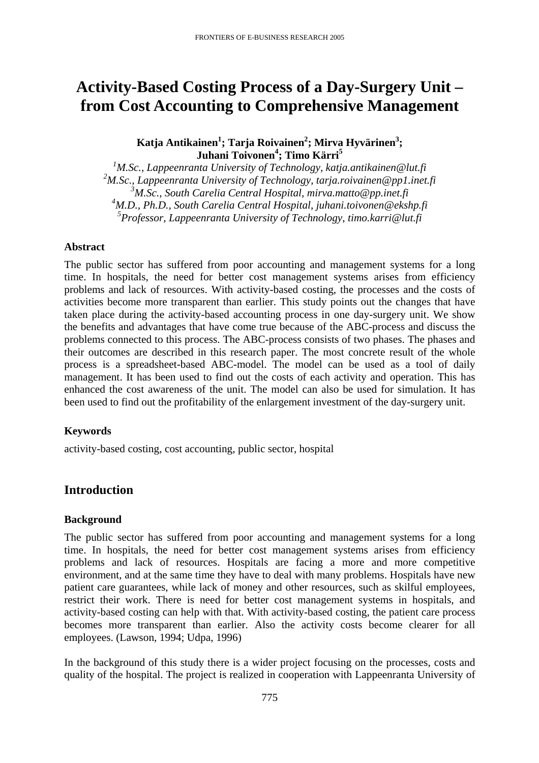# **Activity-Based Costing Process of a Day-Surgery Unit – from Cost Accounting to Comprehensive Management**

 $\mathbf{K}$ atja Antikainen $^1$ ; Tarja Roivainen $^2$ ; Mirva Hyvärinen $^3$ ; **Juhani Toivonen4 ; Timo Kärri 5**

 *M.Sc., Lappeenranta University of Technology, katja.antikainen@lut.fi M.Sc., Lappeenranta University of Technology, tarja.roivainen@pp1.inet.fi M.Sc., South Carelia Central Hospital, mirva.matto@pp.inet.fi M.D., Ph.D., South Carelia Central Hospital, juhani.toivonen@ekshp.fi Professor, Lappeenranta University of Technology, timo.karri@lut.fi* 

#### **Abstract**

The public sector has suffered from poor accounting and management systems for a long time. In hospitals, the need for better cost management systems arises from efficiency problems and lack of resources. With activity-based costing, the processes and the costs of activities become more transparent than earlier. This study points out the changes that have taken place during the activity-based accounting process in one day-surgery unit. We show the benefits and advantages that have come true because of the ABC-process and discuss the problems connected to this process. The ABC-process consists of two phases. The phases and their outcomes are described in this research paper. The most concrete result of the whole process is a spreadsheet-based ABC-model. The model can be used as a tool of daily management. It has been used to find out the costs of each activity and operation. This has enhanced the cost awareness of the unit. The model can also be used for simulation. It has been used to find out the profitability of the enlargement investment of the day-surgery unit.

# **Keywords**

activity-based costing, cost accounting, public sector, hospital

# **Introduction**

#### **Background**

The public sector has suffered from poor accounting and management systems for a long time. In hospitals, the need for better cost management systems arises from efficiency problems and lack of resources. Hospitals are facing a more and more competitive environment, and at the same time they have to deal with many problems. Hospitals have new patient care guarantees, while lack of money and other resources, such as skilful employees, restrict their work. There is need for better cost management systems in hospitals, and activity-based costing can help with that. With activity-based costing, the patient care process becomes more transparent than earlier. Also the activity costs become clearer for all employees. (Lawson, 1994; Udpa, 1996)

In the background of this study there is a wider project focusing on the processes, costs and quality of the hospital. The project is realized in cooperation with Lappeenranta University of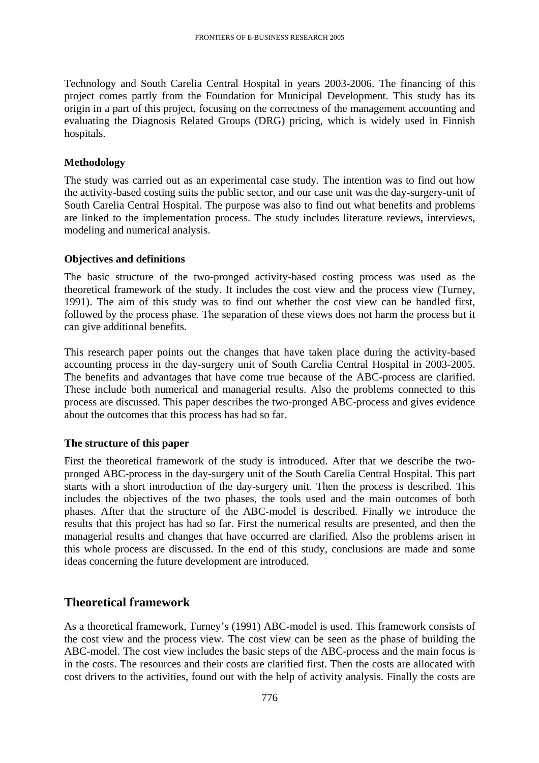Technology and South Carelia Central Hospital in years 2003-2006. The financing of this project comes partly from the Foundation for Municipal Development. This study has its origin in a part of this project, focusing on the correctness of the management accounting and evaluating the Diagnosis Related Groups (DRG) pricing, which is widely used in Finnish hospitals.

#### **Methodology**

The study was carried out as an experimental case study. The intention was to find out how the activity-based costing suits the public sector, and our case unit was the day-surgery-unit of South Carelia Central Hospital. The purpose was also to find out what benefits and problems are linked to the implementation process. The study includes literature reviews, interviews, modeling and numerical analysis.

#### **Objectives and definitions**

The basic structure of the two-pronged activity-based costing process was used as the theoretical framework of the study. It includes the cost view and the process view (Turney, 1991). The aim of this study was to find out whether the cost view can be handled first, followed by the process phase. The separation of these views does not harm the process but it can give additional benefits.

This research paper points out the changes that have taken place during the activity-based accounting process in the day-surgery unit of South Carelia Central Hospital in 2003-2005. The benefits and advantages that have come true because of the ABC-process are clarified. These include both numerical and managerial results. Also the problems connected to this process are discussed. This paper describes the two-pronged ABC-process and gives evidence about the outcomes that this process has had so far.

#### **The structure of this paper**

First the theoretical framework of the study is introduced. After that we describe the twopronged ABC-process in the day-surgery unit of the South Carelia Central Hospital. This part starts with a short introduction of the day-surgery unit. Then the process is described. This includes the objectives of the two phases, the tools used and the main outcomes of both phases. After that the structure of the ABC-model is described. Finally we introduce the results that this project has had so far. First the numerical results are presented, and then the managerial results and changes that have occurred are clarified. Also the problems arisen in this whole process are discussed. In the end of this study, conclusions are made and some ideas concerning the future development are introduced.

# **Theoretical framework**

As a theoretical framework, Turney's (1991) ABC-model is used. This framework consists of the cost view and the process view. The cost view can be seen as the phase of building the ABC-model. The cost view includes the basic steps of the ABC-process and the main focus is in the costs. The resources and their costs are clarified first. Then the costs are allocated with cost drivers to the activities, found out with the help of activity analysis. Finally the costs are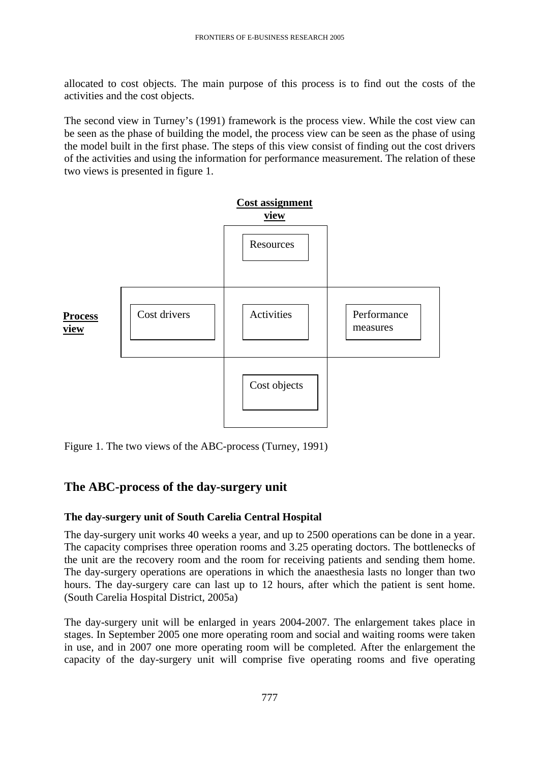allocated to cost objects. The main purpose of this process is to find out the costs of the activities and the cost objects.

The second view in Turney's (1991) framework is the process view. While the cost view can be seen as the phase of building the model, the process view can be seen as the phase of using the model built in the first phase. The steps of this view consist of finding out the cost drivers of the activities and using the information for performance measurement. The relation of these two views is presented in figure 1.



Figure 1. The two views of the ABC-process (Turney, 1991)

# **The ABC-process of the day-surgery unit**

# **The day-surgery unit of South Carelia Central Hospital**

The day-surgery unit works 40 weeks a year, and up to 2500 operations can be done in a year. The capacity comprises three operation rooms and 3.25 operating doctors. The bottlenecks of the unit are the recovery room and the room for receiving patients and sending them home. The day-surgery operations are operations in which the anaesthesia lasts no longer than two hours. The day-surgery care can last up to 12 hours, after which the patient is sent home. (South Carelia Hospital District, 2005a)

The day-surgery unit will be enlarged in years 2004-2007. The enlargement takes place in stages. In September 2005 one more operating room and social and waiting rooms were taken in use, and in 2007 one more operating room will be completed. After the enlargement the capacity of the day-surgery unit will comprise five operating rooms and five operating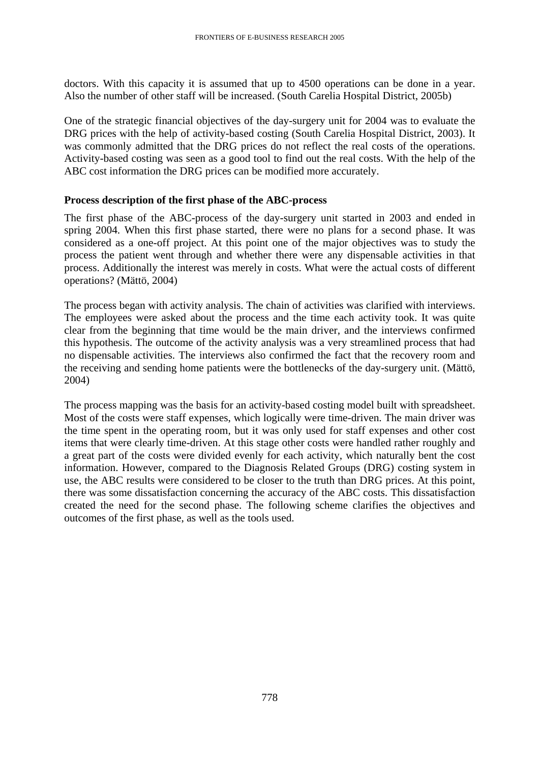doctors. With this capacity it is assumed that up to 4500 operations can be done in a year. Also the number of other staff will be increased. (South Carelia Hospital District, 2005b)

One of the strategic financial objectives of the day-surgery unit for 2004 was to evaluate the DRG prices with the help of activity-based costing (South Carelia Hospital District, 2003). It was commonly admitted that the DRG prices do not reflect the real costs of the operations. Activity-based costing was seen as a good tool to find out the real costs. With the help of the ABC cost information the DRG prices can be modified more accurately.

#### **Process description of the first phase of the ABC-process**

The first phase of the ABC-process of the day-surgery unit started in 2003 and ended in spring 2004. When this first phase started, there were no plans for a second phase. It was considered as a one-off project. At this point one of the major objectives was to study the process the patient went through and whether there were any dispensable activities in that process. Additionally the interest was merely in costs. What were the actual costs of different operations? (Mättö, 2004)

The process began with activity analysis. The chain of activities was clarified with interviews. The employees were asked about the process and the time each activity took. It was quite clear from the beginning that time would be the main driver, and the interviews confirmed this hypothesis. The outcome of the activity analysis was a very streamlined process that had no dispensable activities. The interviews also confirmed the fact that the recovery room and the receiving and sending home patients were the bottlenecks of the day-surgery unit. (Mättö, 2004)

The process mapping was the basis for an activity-based costing model built with spreadsheet. Most of the costs were staff expenses, which logically were time-driven. The main driver was the time spent in the operating room, but it was only used for staff expenses and other cost items that were clearly time-driven. At this stage other costs were handled rather roughly and a great part of the costs were divided evenly for each activity, which naturally bent the cost information. However, compared to the Diagnosis Related Groups (DRG) costing system in use, the ABC results were considered to be closer to the truth than DRG prices. At this point, there was some dissatisfaction concerning the accuracy of the ABC costs. This dissatisfaction created the need for the second phase. The following scheme clarifies the objectives and outcomes of the first phase, as well as the tools used.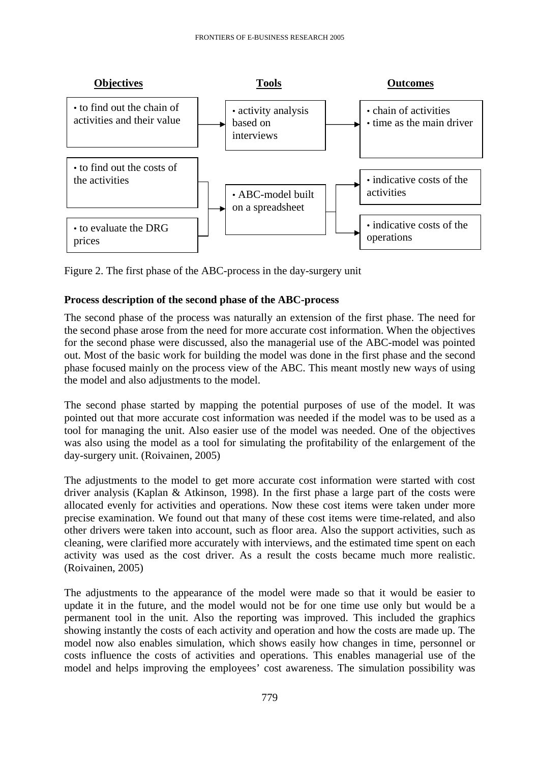

Figure 2. The first phase of the ABC-process in the day-surgery unit

# **Process description of the second phase of the ABC-process**

The second phase of the process was naturally an extension of the first phase. The need for the second phase arose from the need for more accurate cost information. When the objectives for the second phase were discussed, also the managerial use of the ABC-model was pointed out. Most of the basic work for building the model was done in the first phase and the second phase focused mainly on the process view of the ABC. This meant mostly new ways of using the model and also adjustments to the model.

The second phase started by mapping the potential purposes of use of the model. It was pointed out that more accurate cost information was needed if the model was to be used as a tool for managing the unit. Also easier use of the model was needed. One of the objectives was also using the model as a tool for simulating the profitability of the enlargement of the day-surgery unit. (Roivainen, 2005)

The adjustments to the model to get more accurate cost information were started with cost driver analysis (Kaplan & Atkinson, 1998). In the first phase a large part of the costs were allocated evenly for activities and operations. Now these cost items were taken under more precise examination. We found out that many of these cost items were time-related, and also other drivers were taken into account, such as floor area. Also the support activities, such as cleaning, were clarified more accurately with interviews, and the estimated time spent on each activity was used as the cost driver. As a result the costs became much more realistic. (Roivainen, 2005)

The adjustments to the appearance of the model were made so that it would be easier to update it in the future, and the model would not be for one time use only but would be a permanent tool in the unit. Also the reporting was improved. This included the graphics showing instantly the costs of each activity and operation and how the costs are made up. The model now also enables simulation, which shows easily how changes in time, personnel or costs influence the costs of activities and operations. This enables managerial use of the model and helps improving the employees' cost awareness. The simulation possibility was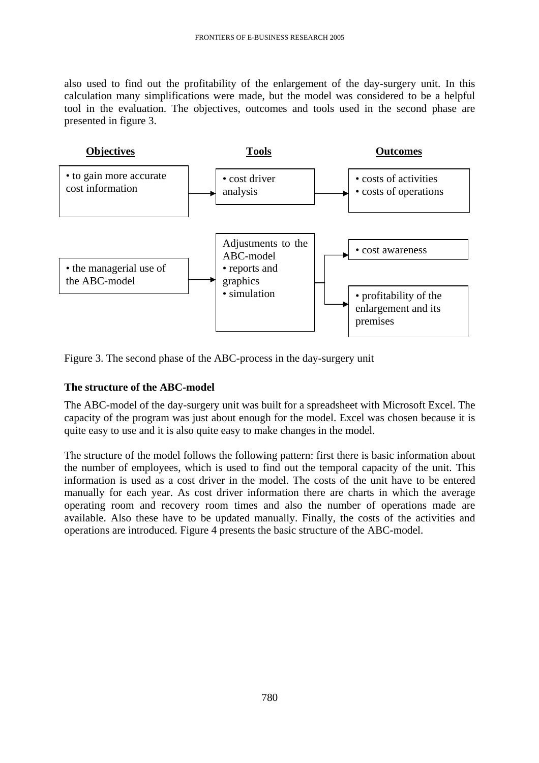also used to find out the profitability of the enlargement of the day-surgery unit. In this calculation many simplifications were made, but the model was considered to be a helpful tool in the evaluation. The objectives, outcomes and tools used in the second phase are presented in figure 3.



Figure 3. The second phase of the ABC-process in the day-surgery unit

# **The structure of the ABC-model**

The ABC-model of the day-surgery unit was built for a spreadsheet with Microsoft Excel. The capacity of the program was just about enough for the model. Excel was chosen because it is quite easy to use and it is also quite easy to make changes in the model.

The structure of the model follows the following pattern: first there is basic information about the number of employees, which is used to find out the temporal capacity of the unit. This information is used as a cost driver in the model. The costs of the unit have to be entered manually for each year. As cost driver information there are charts in which the average operating room and recovery room times and also the number of operations made are available. Also these have to be updated manually. Finally, the costs of the activities and operations are introduced. Figure 4 presents the basic structure of the ABC-model.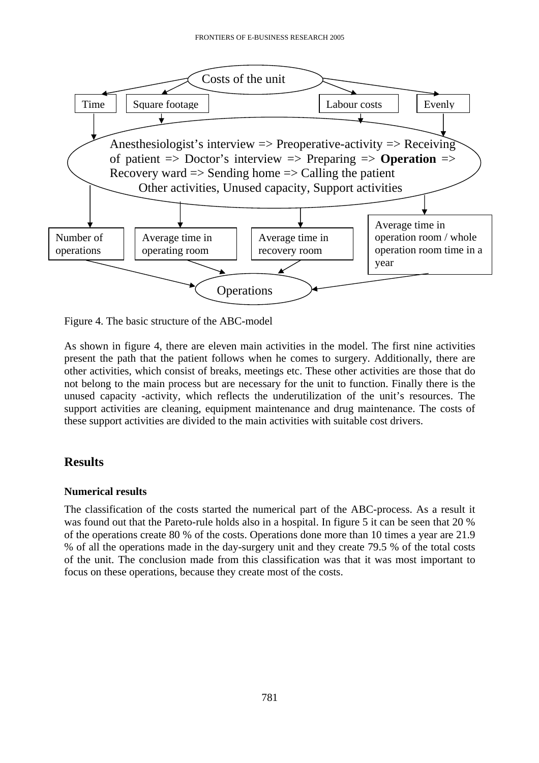

Figure 4. The basic structure of the ABC-model

As shown in figure 4, there are eleven main activities in the model. The first nine activities present the path that the patient follows when he comes to surgery. Additionally, there are other activities, which consist of breaks, meetings etc. These other activities are those that do not belong to the main process but are necessary for the unit to function. Finally there is the unused capacity -activity, which reflects the underutilization of the unit's resources. The support activities are cleaning, equipment maintenance and drug maintenance. The costs of these support activities are divided to the main activities with suitable cost drivers.

# **Results**

# **Numerical results**

The classification of the costs started the numerical part of the ABC-process. As a result it was found out that the Pareto-rule holds also in a hospital. In figure 5 it can be seen that 20 % of the operations create 80 % of the costs. Operations done more than 10 times a year are 21.9 % of all the operations made in the day-surgery unit and they create 79.5 % of the total costs of the unit. The conclusion made from this classification was that it was most important to focus on these operations, because they create most of the costs.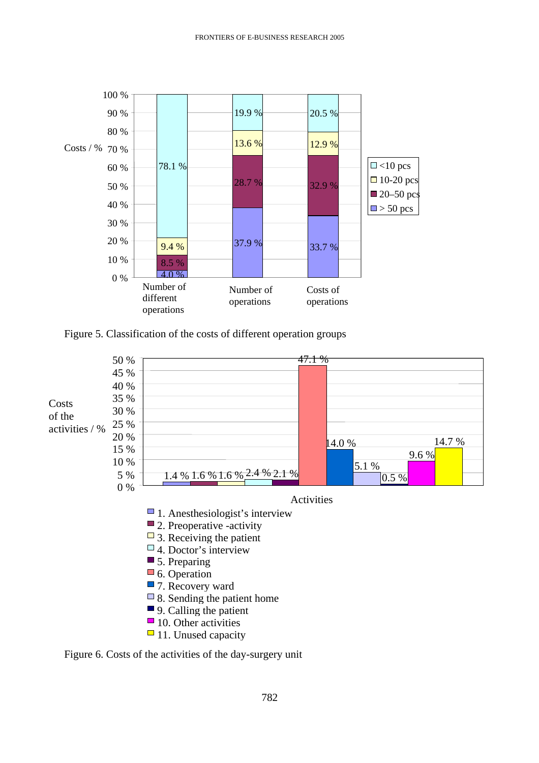

Figure 5. Classification of the costs of different operation groups



 $\Box$  11. Unused capacity

Figure 6. Costs of the activities of the day-surgery unit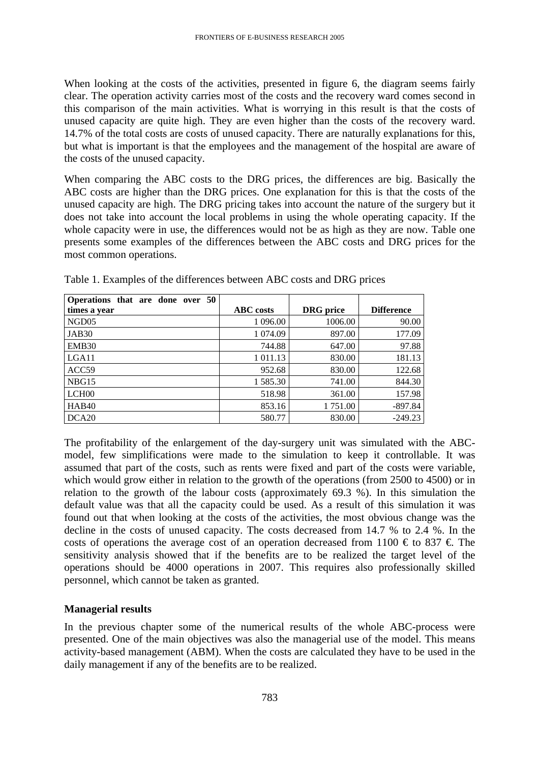When looking at the costs of the activities, presented in figure 6, the diagram seems fairly clear. The operation activity carries most of the costs and the recovery ward comes second in this comparison of the main activities. What is worrying in this result is that the costs of unused capacity are quite high. They are even higher than the costs of the recovery ward. 14.7% of the total costs are costs of unused capacity. There are naturally explanations for this, but what is important is that the employees and the management of the hospital are aware of the costs of the unused capacity.

When comparing the ABC costs to the DRG prices, the differences are big. Basically the ABC costs are higher than the DRG prices. One explanation for this is that the costs of the unused capacity are high. The DRG pricing takes into account the nature of the surgery but it does not take into account the local problems in using the whole operating capacity. If the whole capacity were in use, the differences would not be as high as they are now. Table one presents some examples of the differences between the ABC costs and DRG prices for the most common operations.

| Operations that are done over 50 |                  |                  |                   |
|----------------------------------|------------------|------------------|-------------------|
| times a year                     | <b>ABC</b> costs | <b>DRG</b> price | <b>Difference</b> |
| NGD <sub>05</sub>                | 1 096.00         | 1006.00          | 90.00             |
| JAB <sub>30</sub>                | 1 0 74.09        | 897.00           | 177.09            |
| EMB <sub>30</sub>                | 744.88           | 647.00           | 97.88             |
| LGA <sub>11</sub>                | 1 011.13         | 830.00           | 181.13            |
| ACC59                            | 952.68           | 830.00           | 122.68            |
| NBG15                            | 1 585.30         | 741.00           | 844.30            |
| LCH <sub>00</sub>                | 518.98           | 361.00           | 157.98            |
| HAB <sub>40</sub>                | 853.16           | 1 751.00         | $-897.84$         |
| DCA20                            | 580.77           | 830.00           | $-249.23$         |

Table 1. Examples of the differences between ABC costs and DRG prices

The profitability of the enlargement of the day-surgery unit was simulated with the ABCmodel, few simplifications were made to the simulation to keep it controllable. It was assumed that part of the costs, such as rents were fixed and part of the costs were variable, which would grow either in relation to the growth of the operations (from 2500 to 4500) or in relation to the growth of the labour costs (approximately 69.3 %). In this simulation the default value was that all the capacity could be used. As a result of this simulation it was found out that when looking at the costs of the activities, the most obvious change was the decline in the costs of unused capacity. The costs decreased from 14.7 % to 2.4 %. In the costs of operations the average cost of an operation decreased from 1100  $\epsilon$  to 837  $\epsilon$ . The sensitivity analysis showed that if the benefits are to be realized the target level of the operations should be 4000 operations in 2007. This requires also professionally skilled personnel, which cannot be taken as granted.

#### **Managerial results**

In the previous chapter some of the numerical results of the whole ABC-process were presented. One of the main objectives was also the managerial use of the model. This means activity-based management (ABM). When the costs are calculated they have to be used in the daily management if any of the benefits are to be realized.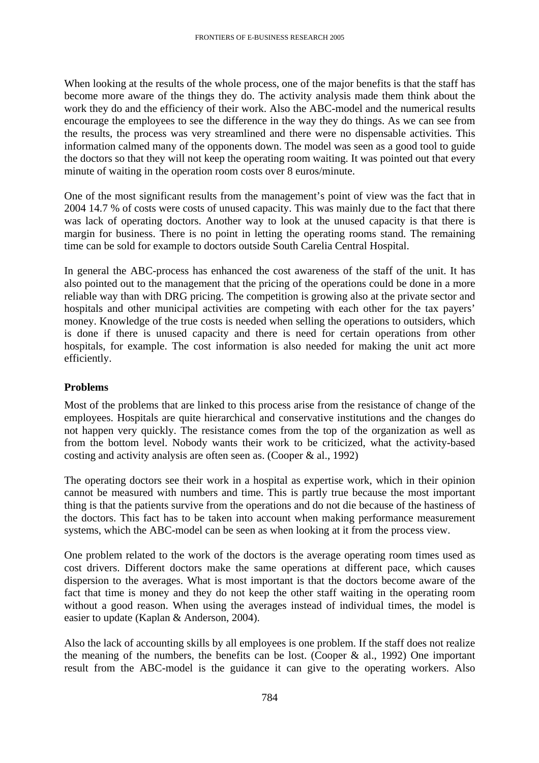When looking at the results of the whole process, one of the major benefits is that the staff has become more aware of the things they do. The activity analysis made them think about the work they do and the efficiency of their work. Also the ABC-model and the numerical results encourage the employees to see the difference in the way they do things. As we can see from the results, the process was very streamlined and there were no dispensable activities. This information calmed many of the opponents down. The model was seen as a good tool to guide the doctors so that they will not keep the operating room waiting. It was pointed out that every minute of waiting in the operation room costs over 8 euros/minute.

One of the most significant results from the management's point of view was the fact that in 2004 14.7 % of costs were costs of unused capacity. This was mainly due to the fact that there was lack of operating doctors. Another way to look at the unused capacity is that there is margin for business. There is no point in letting the operating rooms stand. The remaining time can be sold for example to doctors outside South Carelia Central Hospital.

In general the ABC-process has enhanced the cost awareness of the staff of the unit. It has also pointed out to the management that the pricing of the operations could be done in a more reliable way than with DRG pricing. The competition is growing also at the private sector and hospitals and other municipal activities are competing with each other for the tax payers' money. Knowledge of the true costs is needed when selling the operations to outsiders, which is done if there is unused capacity and there is need for certain operations from other hospitals, for example. The cost information is also needed for making the unit act more efficiently.

#### **Problems**

Most of the problems that are linked to this process arise from the resistance of change of the employees. Hospitals are quite hierarchical and conservative institutions and the changes do not happen very quickly. The resistance comes from the top of the organization as well as from the bottom level. Nobody wants their work to be criticized, what the activity-based costing and activity analysis are often seen as. (Cooper & al., 1992)

The operating doctors see their work in a hospital as expertise work, which in their opinion cannot be measured with numbers and time. This is partly true because the most important thing is that the patients survive from the operations and do not die because of the hastiness of the doctors. This fact has to be taken into account when making performance measurement systems, which the ABC-model can be seen as when looking at it from the process view.

One problem related to the work of the doctors is the average operating room times used as cost drivers. Different doctors make the same operations at different pace, which causes dispersion to the averages. What is most important is that the doctors become aware of the fact that time is money and they do not keep the other staff waiting in the operating room without a good reason. When using the averages instead of individual times, the model is easier to update (Kaplan & Anderson, 2004).

Also the lack of accounting skills by all employees is one problem. If the staff does not realize the meaning of the numbers, the benefits can be lost. (Cooper  $\&$  al., 1992) One important result from the ABC-model is the guidance it can give to the operating workers. Also